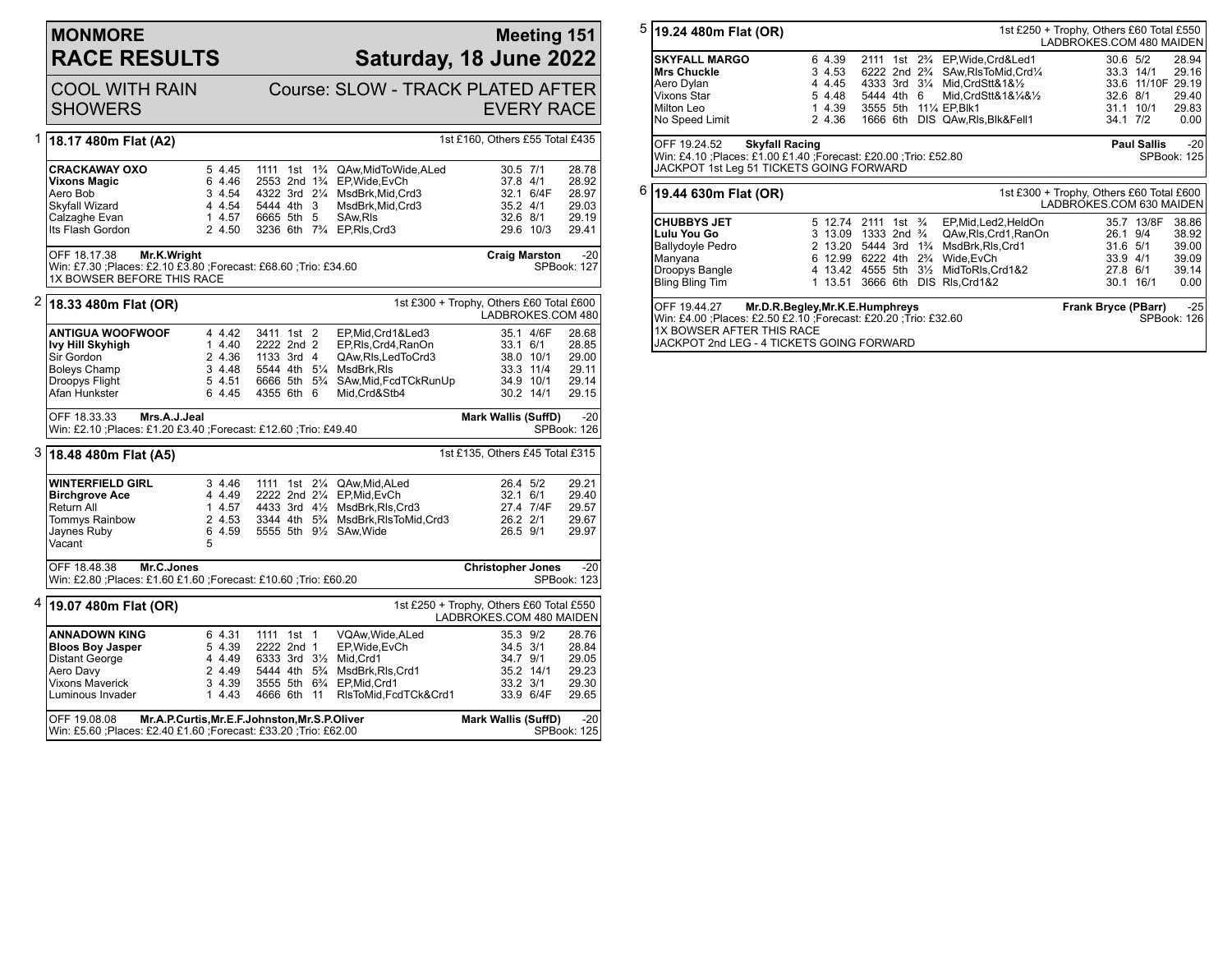| <b>MONMORE</b>      |
|---------------------|
| <b>RACE RESULTS</b> |

## **Meeting 151 Saturday, 18 June 2022**

|   | <b>COOL WITH RAIN</b><br><b>SHOWERS</b>                                                                                        |                                                          |                                                                                                                                                    | Course: SLOW - TRACK PLATED AFTER                                                                                                                                 | <b>EVERY RACE</b>                                                    |                                                               |                                                             |
|---|--------------------------------------------------------------------------------------------------------------------------------|----------------------------------------------------------|----------------------------------------------------------------------------------------------------------------------------------------------------|-------------------------------------------------------------------------------------------------------------------------------------------------------------------|----------------------------------------------------------------------|---------------------------------------------------------------|-------------------------------------------------------------|
| 1 | 18.17 480m Flat (A2)                                                                                                           |                                                          |                                                                                                                                                    |                                                                                                                                                                   | 1st £160, Others £55 Total £435                                      |                                                               |                                                             |
|   | CRACKAWAY OXO<br>Vixons Magic<br>Aero Bob<br>Skyfall Wizard<br>Calzaghe Evan<br>Its Flash Gordon                               | 5 4.45<br>6 4.46<br>3 4.54<br>4 4.54<br>14.57<br>2 4.50  | 5444 4th 3<br>6665 5th 5<br>3236 6th 7 <sup>3</sup> / <sub>4</sub> EP, RIs, Crd3                                                                   | 1111 1st 1 <sup>3</sup> / <sub>4</sub> QAw, Mid To Wide, A Led<br>2553 2nd 11/4 EP, Wide, EvCh<br>4322 3rd 21/4 MsdBrk, Mid, Crd3<br>MsdBrk, Mid, Crd3<br>SAw.RIs | 30.5 7/1<br>37.8 4/1<br>$35.2$ 4/1<br>32.6 8/1                       | 32.1 6/4F<br>29.6 10/3                                        | 28.78<br>28.92<br>28.97<br>29.03<br>29.19<br>29.41          |
|   | OFF 18.17.38<br>Mr.K.Wright<br>Win: £7.30 ;Places: £2.10 £3.80 ;Forecast: £68.60 ;Trio: £34.60<br>1X BOWSER BEFORE THIS RACE   |                                                          |                                                                                                                                                    |                                                                                                                                                                   | <b>Craig Marston</b>                                                 |                                                               | $-20$<br>SPBook: 127                                        |
|   | $2$  18.33 480m Flat (OR)                                                                                                      |                                                          |                                                                                                                                                    |                                                                                                                                                                   | 1st £300 + Trophy, Others £60 Total £600<br>LADBROKES.COM 480        |                                                               |                                                             |
|   | <b>ANTIGUA WOOFWOOF</b><br>lvy Hill Skyhigh<br>Sir Gordon<br><b>Boleys Champ</b><br>Droopys Flight<br>Afan Hunkster            | 4 4.42<br>1 4.40<br>2 4.36<br>3 4.48<br>5 4.51<br>6 4.45 | 3411 1st 2<br>2222 2nd 2<br>1133 3rd 4<br>5544 4th 51/4 MsdBrk.RIs<br>4355 6th 6                                                                   | EP, Mid, Crd1&Led3<br>EP, RIs, Crd4, RanOn<br>QAw.Rls.LedToCrd3<br>6666 5th 5 <sup>3</sup> / <sub>4</sub> SAw, Mid, Fcd TCk Run Up<br>Mid, Crd&Stb4               | 33.1 6/1                                                             | 35.1 4/6F<br>38.0 10/1<br>33.3 11/4<br>34.9 10/1<br>30.2 14/1 | 28.68<br>28.85<br>29.00<br>29.11<br>29.14<br>29.15          |
|   | OFF 18.33.33<br>Mrs.A.J.Jeal                                                                                                   |                                                          |                                                                                                                                                    |                                                                                                                                                                   | <b>Mark Wallis (SuffD)</b>                                           |                                                               | $-20$                                                       |
|   | Win: £2.10 ; Places: £1.20 £3.40 ; Forecast: £12.60 ; Trio: £49.40                                                             |                                                          |                                                                                                                                                    |                                                                                                                                                                   |                                                                      |                                                               |                                                             |
|   | 3 18.48 480m Flat (A5)                                                                                                         |                                                          |                                                                                                                                                    |                                                                                                                                                                   | 1st £135, Others £45 Total £315                                      |                                                               | SPBook: 126                                                 |
|   | <b>WINTERFIELD GIRL</b><br><b>Birchgrove Ace</b><br>Return All<br>Tommys Rainbow<br>Jaynes Ruby<br>Vacant                      | 3 4.46<br>4 4.49<br>2 4.53<br>6 4.59<br>5                | 2222 2nd 21/4 EP, Mid, EvCh<br>5555 5th 91/2 SAw, Wide                                                                                             | 1111 1st 21/4 QAw, Mid, ALed<br>1 4.57 4433 3rd 41/2 MsdBrk, RIs, Crd3<br>3344 4th 5 <sup>3</sup> / <sub>4</sub> MsdBrk, RIsToMid, Crd3                           | 26.4 5/2<br>$32.1\quad 6/1$<br>26.2 2/1<br>26.5 9/1                  | 27.4 7/4F                                                     | 29.21<br>29.40<br>29.57<br>29.67<br>29.97                   |
|   | Mr.C.Jones<br>OFF 18.48.38<br>Win: £2.80 ; Places: £1.60 £1.60 ; Forecast: £10.60 ; Trio: £60.20                               |                                                          |                                                                                                                                                    |                                                                                                                                                                   | <b>Christopher Jones</b>                                             |                                                               |                                                             |
| 4 | 19.07 480m Flat (OR)                                                                                                           |                                                          |                                                                                                                                                    |                                                                                                                                                                   | 1st £250 + Trophy, Others £60 Total £550<br>LADBROKES.COM 480 MAIDEN |                                                               | $-20$<br>SPBook: 123                                        |
|   | ANNADOWN KING<br><b>Bloos Boy Jasper</b><br>Distant George<br>Aero Davy<br>Vixons Maverick<br>Luminous Invader<br>OFF 19.08.08 | 6 4.31<br>5 4.39<br>4 4.49<br>2 4.49<br>3 4.39<br>1 4.43 | 1111 1st 1<br>2222 2nd 1<br>6333 3rd 31/2 Mid, Crd1<br>3555 5th 63/4 EP, Mid, Crd1<br>4666 6th 11<br>Mr.A.P.Curtis, Mr.E.F.Johnston, Mr.S.P.Oliver | VQAw, Wide, ALed<br>EP, Wide, EvCh<br>5444 4th 5 <sup>3</sup> / <sub>4</sub> MsdBrk, RIs, Crd1<br>RIsToMid,FcdTCk&Crd1                                            | 35.3 9/2<br>34.5 3/1<br>34.7 9/1<br>33.2 3/1<br>Mark Wallis (SuffD)  | 35.2 14/1<br>33.9 6/4F                                        | 28.76<br>28.84<br>29.05<br>29.23<br>29.30<br>29.65<br>$-20$ |

| $5 $ 19.24 480m Flat (OR)                                          |   |         |                                        |     |                |                                        | 1st £250 + Trophy, Others £60 Total £550                             |                    |             |
|--------------------------------------------------------------------|---|---------|----------------------------------------|-----|----------------|----------------------------------------|----------------------------------------------------------------------|--------------------|-------------|
|                                                                    |   |         |                                        |     |                |                                        | LADBROKES.COM 480 MAIDEN                                             |                    |             |
| <b>SKYFALL MARGO</b>                                               |   | 6 4.39  | 2111                                   | 1st | $2\frac{3}{4}$ | EP, Wide, Crd&Led1                     | $30.6$ $5/2$                                                         |                    | 28.94       |
| <b>Mrs Chuckle</b>                                                 |   | 3 4.53  | 6222 2nd 2 <sup>3</sup> / <sub>4</sub> |     |                | SAw.RIsToMid.Crd1/4                    |                                                                      | 33.3 14/1          | 29.16       |
| Aero Dylan                                                         |   | 4 4.45  | 4333 3rd                               |     | $3\frac{1}{4}$ | Mid, CrdStt&1&12                       |                                                                      | 33.6 11/10F 29.19  |             |
| Vixons Star                                                        |   | 5 4.48  | 5444 4th                               |     | 6              | Mid.CrdStt&1&1/4&1/2                   | 32.6 8/1                                                             |                    | 29.40       |
| Milton Leo                                                         |   | 1 4.39  | 3555 5th                               |     |                | 11 <sup>1</sup> / <sub>4</sub> EP.Blk1 | 31.1                                                                 | 10/1               | 29.83       |
| No Speed Limit                                                     |   | 2 4.36  | 1666 6th                               |     |                | DIS QAw, RIs, BIK& Fell1               | 34.1 7/2                                                             |                    | 0.00        |
|                                                                    |   |         |                                        |     |                |                                        |                                                                      |                    |             |
| OFF 19.24.52<br><b>Skyfall Racing</b>                              |   |         |                                        |     |                |                                        |                                                                      | <b>Paul Sallis</b> | $-20$       |
| Win: £4.10 ; Places: £1.00 £1.40 ; Forecast: £20.00 ; Trio: £52.80 |   |         |                                        |     |                |                                        |                                                                      |                    | SPBook: 125 |
| JACKPOT 1st Leg 51 TICKETS GOING FORWARD                           |   |         |                                        |     |                |                                        |                                                                      |                    |             |
|                                                                    |   |         |                                        |     |                |                                        |                                                                      |                    |             |
| $6 $ 19.44 630m Flat (OR)                                          |   |         |                                        |     |                |                                        | 1st £300 + Trophy, Others £60 Total £600<br>LADBROKES.COM 630 MAIDEN |                    |             |
|                                                                    |   |         |                                        |     |                |                                        |                                                                      |                    |             |
| <b>CHUBBYS JET</b>                                                 |   | 5 12.74 | 2111                                   | 1st | $\frac{3}{4}$  | EP, Mid, Led 2, Held On                |                                                                      | 35.7 13/8F         |             |
|                                                                    |   |         |                                        |     |                |                                        |                                                                      |                    | 38.86       |
| Lulu You Go                                                        |   | 3 13.09 | 1333 2nd                               |     | $\frac{3}{4}$  | QAw, RIs, Crd1, RanOn                  | 26.1 9/4                                                             |                    | 38.92       |
| Ballydoyle Pedro                                                   |   | 2 13.20 | 5444 3rd                               |     | $1\frac{3}{4}$ | MsdBrk.RIs.Crd1                        | 31.6 5/1                                                             |                    | 39.00       |
| Manyana                                                            | 6 | 12.99   | 6222 4th                               |     | $2\frac{3}{4}$ | Wide.EvCh                              | 33.9                                                                 | 4/1                | 39.09       |
| Droopys Bangle                                                     |   | 4 13.42 | 4555 5th                               |     | $3\frac{1}{2}$ | MidToRIs.Crd1&2                        | 27.8 6/1                                                             |                    | 39.14       |

| OFF 19.44.27               | Mr.D.R.Begley, Mr.K.E.Humphreys                                 | Frank Bryce (PBarr) | $-25$ |
|----------------------------|-----------------------------------------------------------------|---------------------|-------|
|                            | Win: £4.00 ;Places: £2.50 £2.10 ;Forecast: £20.20 ;Trio: £32.60 | SPBook: 126         |       |
| l1X BOWSER AFTER THIS RACE |                                                                 |                     |       |
|                            | <b>JJACKPOT 2nd LEG - 4 TICKETS GOING FORWARD</b>               |                     |       |